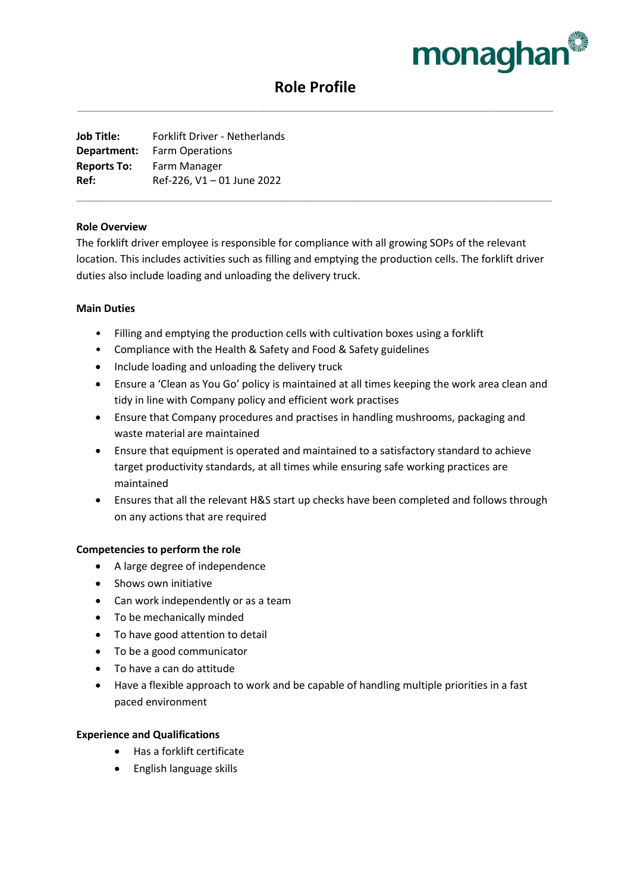

# **Role Profile** \_\_\_\_\_\_\_\_\_\_\_\_\_\_\_\_\_\_\_\_\_\_\_\_\_\_\_\_\_\_\_\_\_\_\_\_\_\_\_\_\_\_\_\_\_\_\_\_\_\_\_\_\_\_\_\_\_\_\_\_\_\_\_\_\_\_\_\_\_\_\_\_\_\_\_\_\_\_\_\_\_\_

**Job Title:** Forklift Driver - Netherlands **Department:** Farm Operations **Reports To:** Farm Manager **Ref:** Ref-226, V1 – 01 June 2022

## **Role Overview**

The forklift driver employee is responsible for compliance with all growing SOPs of the relevant location. This includes activities such as filling and emptying the production cells. The forklift driver duties also include loading and unloading the delivery truck.

\_\_\_\_\_\_\_\_\_\_\_\_\_\_\_\_\_\_\_\_\_\_\_\_\_\_\_\_\_\_\_\_\_\_\_\_\_\_\_\_\_\_\_\_\_\_\_\_\_\_\_\_\_\_\_\_\_\_\_\_\_\_\_\_\_\_\_\_\_\_\_\_\_\_\_\_\_\_\_\_\_\_

## **Main Duties**

- Filling and emptying the production cells with cultivation boxes using a forklift
- Compliance with the Health & Safety and Food & Safety guidelines
- Include loading and unloading the delivery truck
- Ensure a 'Clean as You Go' policy is maintained at all times keeping the work area clean and tidy in line with Company policy and efficient work practises
- Ensure that Company procedures and practises in handling mushrooms, packaging and waste material are maintained
- Ensure that equipment is operated and maintained to a satisfactory standard to achieve target productivity standards, at all times while ensuring safe working practices are maintained
- Ensures that all the relevant H&S start up checks have been completed and follows through on any actions that are required

## **Competencies to perform the role**

- A large degree of independence
- Shows own initiative
- Can work independently or as a team
- To be mechanically minded
- To have good attention to detail
- To be a good communicator
- To have a can do attitude
- Have a flexible approach to work and be capable of handling multiple priorities in a fast paced environment

### **Experience and Qualifications**

- Has a forklift certificate
- English language skills